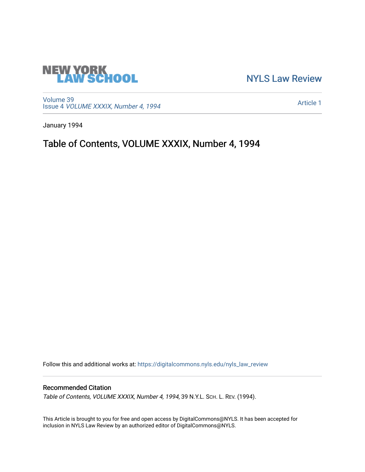

[NYLS Law Review](https://digitalcommons.nyls.edu/nyls_law_review) 

[Volume 39](https://digitalcommons.nyls.edu/nyls_law_review/vol39) Issue 4 [VOLUME XXXIX, Number 4, 1994](https://digitalcommons.nyls.edu/nyls_law_review/vol39/iss4) 

[Article 1](https://digitalcommons.nyls.edu/nyls_law_review/vol39/iss4/1) 

January 1994

Table of Contents, VOLUME XXXIX, Number 4, 1994

Follow this and additional works at: [https://digitalcommons.nyls.edu/nyls\\_law\\_review](https://digitalcommons.nyls.edu/nyls_law_review?utm_source=digitalcommons.nyls.edu%2Fnyls_law_review%2Fvol39%2Fiss4%2F1&utm_medium=PDF&utm_campaign=PDFCoverPages) 

## Recommended Citation

Table of Contents, VOLUME XXXIX, Number 4, 1994, 39 N.Y.L. Sch. L. REV. (1994).

This Article is brought to you for free and open access by DigitalCommons@NYLS. It has been accepted for inclusion in NYLS Law Review by an authorized editor of DigitalCommons@NYLS.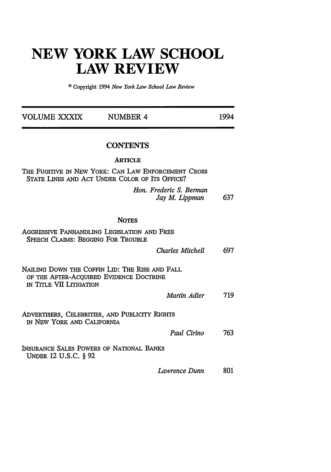## **NEW YORK LAW SCHOOL LAW REVIEW**

**0** Copyright 1994 *New York Law School Law Review*

| <b>VOLUME XXXIX</b>                                              | <b>NUMBER 4</b>                                                                                       | 1994 |
|------------------------------------------------------------------|-------------------------------------------------------------------------------------------------------|------|
|                                                                  | <b>CONTENTS</b>                                                                                       |      |
|                                                                  | <b>ARTICLE</b>                                                                                        |      |
|                                                                  | THE FUGITIVE IN NEW YORK: CAN LAW ENFORCEMENT CROSS<br>STATE LINES AND ACT UNDER COLOR OF ITS OFFICE? |      |
|                                                                  | Hon. Frederic S. Berman<br>Jay M. Lippman                                                             | 637  |
|                                                                  | <b>NOTES</b>                                                                                          |      |
| <b>SPEECH CLAIMS: BEGGING FOR TROUBLE</b>                        | AGGRESSIVE PANHANDLING LEGISLATION AND FREE                                                           |      |
|                                                                  | Charles Mitchell                                                                                      | 697  |
| IN TITLE VII LITIGATION                                          | NAILING DOWN THE COFFIN LID: THE RISE AND FALL<br>OF THE AFTER-ACQUIRED EVIDENCE DOCTRINE             |      |
|                                                                  | Martin Adler                                                                                          | 719  |
| IN NEW YORK AND CALIFORNIA                                       | ADVERTISERS, CELEBRITIES, AND PUBLICITY RIGHTS                                                        |      |
|                                                                  | Paul Cirino                                                                                           | 763  |
| INSURANCE SALES POWERS OF NATIONAL BANKS<br>UNDER 12 U.S.C. § 92 |                                                                                                       |      |
|                                                                  | Lawrence Dunn                                                                                         | 801  |